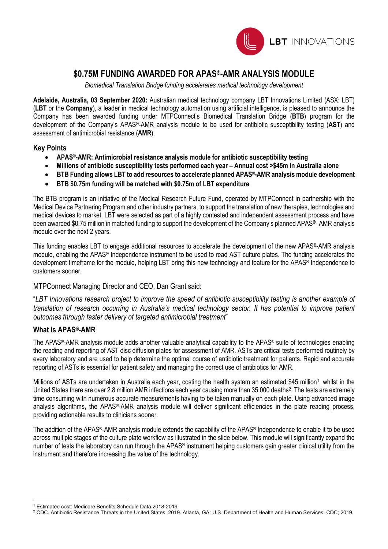

### **\$0.75M FUNDING AWARDED FOR APAS®-AMR ANALYSIS MODULE**

*Biomedical Translation Bridge funding accelerates medical technology development*

**Adelaide, Australia, 03 September 2020:** Australian medical technology company LBT Innovations Limited (ASX: LBT) (**LBT** or the **Company**), a leader in medical technology automation using artificial intelligence, is pleased to announce the Company has been awarded funding under MTPConnect's Biomedical Translation Bridge (**BTB**) program for the development of the Company's APAS®-AMR analysis module to be used for antibiotic susceptibility testing (**AST**) and assessment of antimicrobial resistance (**AMR**).

#### **Key Points**

- **APAS®-AMR: Antimicrobial resistance analysis module for antibiotic susceptibility testing**
- **Millions of antibiotic susceptibility tests performed each year – Annual cost >\$45m in Australia alone**
- **BTB Funding allows LBT to add resources to accelerate planned APAS®-AMR analysis module development**
- **BTB \$0.75m funding will be matched with \$0.75m of LBT expenditure**

The BTB program is an initiative of the Medical Research Future Fund, operated by MTPConnect in partnership with the Medical Device Partnering Program and other industry partners, to support the translation of new therapies, technologies and medical devices to market. LBT were selected as part of a highly contested and independent assessment process and have been awarded \$0.75 million in matched funding to support the development of the Company's planned APAS®- AMR analysis module over the next 2 years.

This funding enables LBT to engage additional resources to accelerate the development of the new APAS®-AMR analysis module, enabling the APAS® Independence instrument to be used to read AST culture plates. The funding accelerates the development timeframe for the module, helping LBT bring this new technology and feature for the APAS® Independence to customers sooner.

MTPConnect Managing Director and CEO, Dan Grant said:

"*LBT Innovations research project to improve the speed of antibiotic susceptibility testing is another example of translation of research occurring in Australia's medical technology sector. It has potential to improve patient outcomes through faster delivery of targeted antimicrobial treatment*"

#### **What is APAS®-AMR**

The APAS®-AMR analysis module adds another valuable analytical capability to the APAS® suite of technologies enabling the reading and reporting of AST disc diffusion plates for assessment of AMR. ASTs are critical tests performed routinely by every laboratory and are used to help determine the optimal course of antibiotic treatment for patients. Rapid and accurate reporting of ASTs is essential for patient safety and managing the correct use of antibiotics for AMR.

Millions of ASTs are undertaken in Australia each year, costing the health system an estimated \$45 million<sup>1</sup>, whilst in the United States there are over [2](#page-0-1).8 million AMR infections each year causing more than 35,000 deaths<sup>2</sup>. The tests are extremely time consuming with numerous accurate measurements having to be taken manually on each plate. Using advanced image analysis algorithms, the APAS®-AMR analysis module will deliver significant efficiencies in the plate reading process, providing actionable results to clinicians sooner.

The addition of the APAS®-AMR analysis module extends the capability of the APAS® Independence to enable it to be used across multiple stages of the culture plate workflow as illustrated in the slide below. This module will significantly expand the number of tests the laboratory can run through the APAS® instrument helping customers gain greater clinical utility from the instrument and therefore increasing the value of the technology.

<span id="page-0-0"></span><sup>1</sup> Estimated cost: Medicare Benefits Schedule Data 2018-2019

<span id="page-0-1"></span><sup>2</sup> CDC. Antibiotic Resistance Threats in the United States, 2019. Atlanta, GA: U.S. Department of Health and Human Services, CDC; 2019.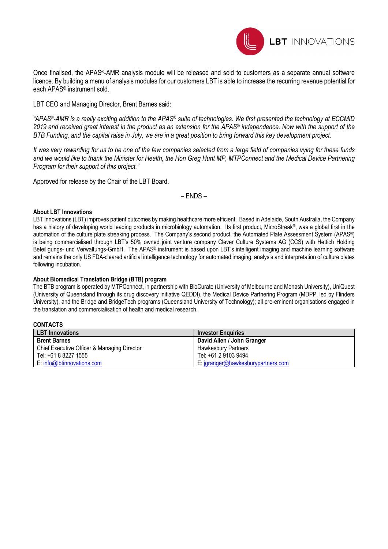

Once finalised, the APAS®-AMR analysis module will be released and sold to customers as a separate annual software licence. By building a menu of analysis modules for our customers LBT is able to increase the recurring revenue potential for each APAS® instrument sold.

LBT CEO and Managing Director, Brent Barnes said:

*"APAS®-AMR is a really exciting addition to the APAS® suite of technologies. We first presented the technology at ECCMID 2019 and received great interest in the product as an extension for the APAS® independence. Now with the support of the BTB Funding, and the capital raise in July, we are in a great position to bring forward this key development project.*

*It was very rewarding for us to be one of the few companies selected from a large field of companies vying for these funds and we would like to thank the Minister for Health, the Hon Greg Hunt MP, MTPConnect and the Medical Device Partnering Program for their support of this project."*

Approved for release by the Chair of the LBT Board.

– ENDS –

#### **About LBT Innovations**

LBT Innovations (LBT) improves patient outcomes by making healthcare more efficient. Based in Adelaide, South Australia, the Company has a history of developing world leading products in microbiology automation. Its first product, MicroStreak®, was a global first in the automation of the culture plate streaking process. The Company's second product, the Automated Plate Assessment System (APAS®) is being commercialised through LBT's 50% owned joint venture company Clever Culture Systems AG (CCS) with Hettich Holding Beteiligungs- und Verwaltungs-GmbH. The APAS® instrument is based upon LBT's intelligent imaging and machine learning software and remains the only US FDA-cleared artificial intelligence technology for automated imaging, analysis and interpretation of culture plates following incubation.

#### **About Biomedical Translation Bridge (BTB) program**

The BTB program is operated by MTPConnect, in partnership with BioCurate (University of Melbourne and Monash University), UniQuest (University of Queensland through its drug discovery initiative QEDDI), the Medical Device Partnering Program (MDPP, led by Flinders University), and the Bridge and BridgeTech programs (Queensland University of Technology); all pre-eminent organisations engaged in the translation and commercialisation of health and medical research.

**CONTACTS**

| <b>LBT</b> Innovations                      | <b>Investor Enguiries</b>          |  |
|---------------------------------------------|------------------------------------|--|
| <b>Brent Barnes</b>                         | David Allen / John Granger         |  |
| Chief Executive Officer & Managing Director | <b>Hawkesbury Partners</b>         |  |
| Tel: +61 8 8227 1555                        | Tel: +61 2 9103 9494               |  |
| E: info@lbtinnovations.com                  | E: jgranger@hawkesburypartners.com |  |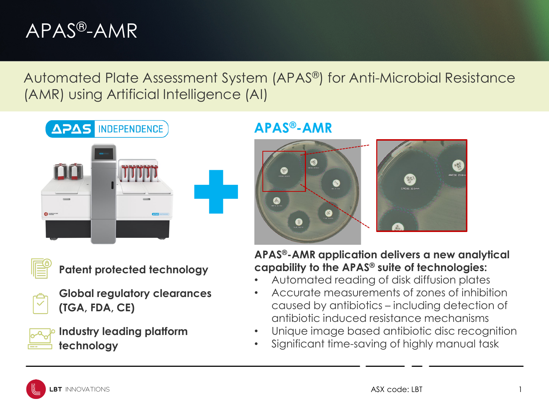## APAS®-AMR

Automated Plate Assessment System (APAS®) for Anti-Microbial Resistance (AMR) using Artificial Intelligence (AI)





**Patent protected technology**

**Global regulatory clearances (TGA, FDA, CE)**

**Industry leading platform technology**

### **APAS®-AMR**



**APAS®-AMR application delivers a new analytical capability to the APAS® suite of technologies:**

- Automated reading of disk diffusion plates
- Accurate measurements of zones of inhibition caused by antibiotics – including detection of antibiotic induced resistance mechanisms
- Unique image based antibiotic disc recognition
- Significant time-saving of highly manual task